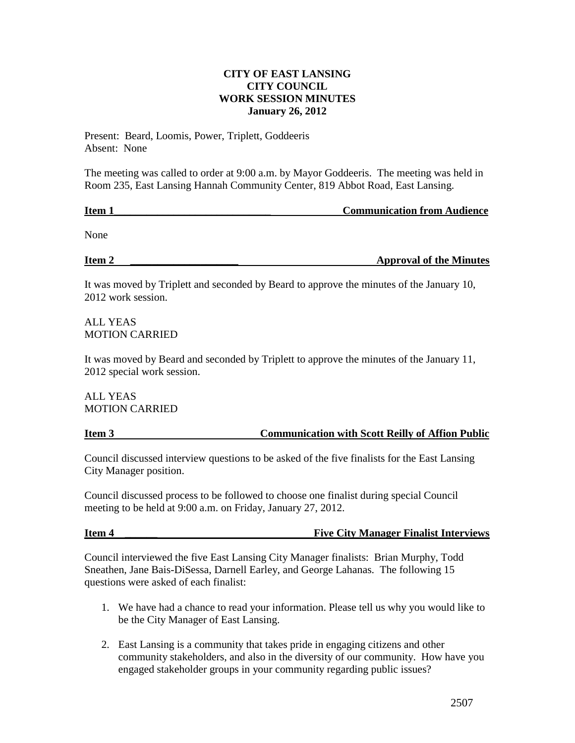### **CITY OF EAST LANSING CITY COUNCIL WORK SESSION MINUTES January 26, 2012**

Present: Beard, Loomis, Power, Triplett, Goddeeris Absent: None

The meeting was called to order at 9:00 a.m. by Mayor Goddeeris. The meeting was held in Room 235, East Lansing Hannah Community Center, 819 Abbot Road, East Lansing.

# **Item 1 In the latter of the communication from Audience Communication from Audience**

None

**Item 2 \_\_\_\_\_\_\_\_\_\_\_\_\_\_\_\_\_\_\_\_ Approval of the Minutes**

It was moved by Triplett and seconded by Beard to approve the minutes of the January 10, 2012 work session.

ALL YEAS MOTION CARRIED

It was moved by Beard and seconded by Triplett to approve the minutes of the January 11, 2012 special work session.

ALL YEAS MOTION CARRIED

### **Item 3 Communication with Scott Reilly of Affion Public**

Council discussed interview questions to be asked of the five finalists for the East Lansing City Manager position.

Council discussed process to be followed to choose one finalist during special Council meeting to be held at 9:00 a.m. on Friday, January 27, 2012.

## **Item 4** \_\_\_\_\_\_\_ The City Manager Finalist Interviews **Finalist** Interviews

Council interviewed the five East Lansing City Manager finalists: Brian Murphy, Todd Sneathen, Jane Bais-DiSessa, Darnell Earley, and George Lahanas. The following 15 questions were asked of each finalist:

- 1. We have had a chance to read your information. Please tell us why you would like to be the City Manager of East Lansing.
- 2. East Lansing is a community that takes pride in engaging citizens and other community stakeholders, and also in the diversity of our community. How have you engaged stakeholder groups in your community regarding public issues?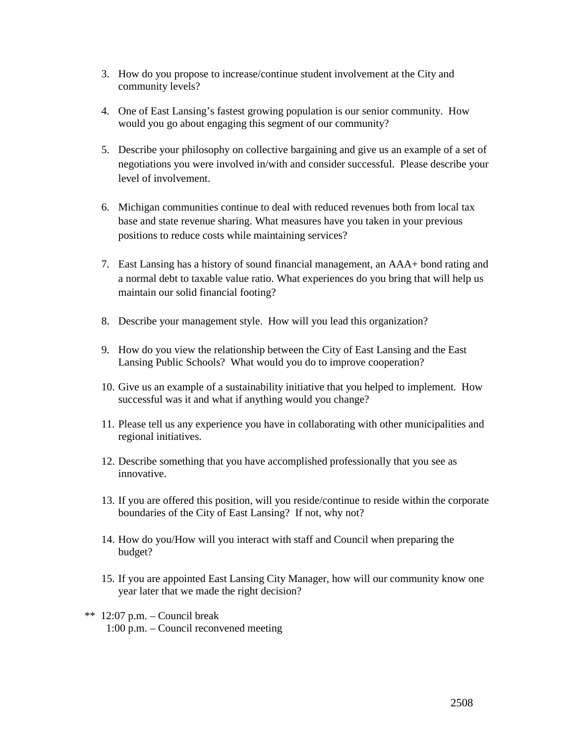- 3. How do you propose to increase/continue student involvement at the City and community levels?
- 4. One of East Lansing's fastest growing population is our senior community. How would you go about engaging this segment of our community?
- 5. Describe your philosophy on collective bargaining and give us an example of a set of negotiations you were involved in/with and consider successful. Please describe your level of involvement.
- 6. Michigan communities continue to deal with reduced revenues both from local tax base and state revenue sharing. What measures have you taken in your previous positions to reduce costs while maintaining services?
- 7. East Lansing has a history of sound financial management, an AAA+ bond rating and a normal debt to taxable value ratio. What experiences do you bring that will help us maintain our solid financial footing?
- 8. Describe your management style. How will you lead this organization?
- 9. How do you view the relationship between the City of East Lansing and the East Lansing Public Schools? What would you do to improve cooperation?
- 10. Give us an example of a sustainability initiative that you helped to implement. How successful was it and what if anything would you change?
- 11. Please tell us any experience you have in collaborating with other municipalities and regional initiatives.
- 12. Describe something that you have accomplished professionally that you see as innovative.
- 13. If you are offered this position, will you reside/continue to reside within the corporate boundaries of the City of East Lansing? If not, why not?
- 14. How do you/How will you interact with staff and Council when preparing the budget?
- 15. If you are appointed East Lansing City Manager, how will our community know one year later that we made the right decision?
- \*\* 12:07 p.m. Council break 1:00 p.m. – Council reconvened meeting